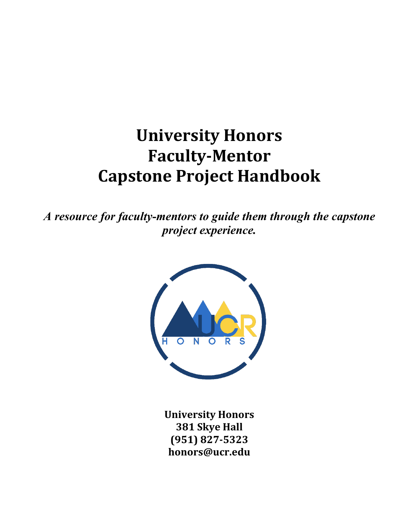# **University Honors Faculty-Mentor Capstone Project Handbook**

*A resource for faculty-mentors to guide them through the capstone project experience.*



**University Honors 381 Skye Hall (951) 827-5323 honors@ucr.edu**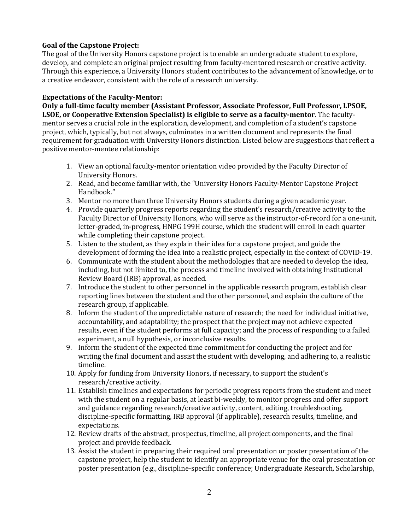# **Goal of the Capstone Project:**

The goal of the University Honors capstone project is to enable an undergraduate student to explore, develop, and complete an original project resulting from faculty-mentored research or creative activity. Through this experience, a University Honors student contributes to the advancement of knowledge, or to a creative endeavor, consistent with the role of a research university.

# **Expectations of the Faculty-Mentor:**

**Only a full-time faculty member (Assistant Professor, Associate Professor, Full Professor, LPSOE, LSOE, or Cooperative Extension Specialist) is eligible to serve as a faculty-mentor**. The facultymentor serves a crucial role in the exploration, development, and completion of a student's capstone project, which, typically, but not always, culminates in a written document and represents the final requirement for graduation with University Honors distinction. Listed below are suggestions that reflect a positive mentor-mentee relationship:

- 1. View an optional faculty-mentor orientation video provided by the Faculty Director of University Honors.
- 2. Read, and become familiar with, the "University Honors Faculty-Mentor Capstone Project Handbook."
- 3. Mentor no more than three University Honors students during a given academic year.
- 4. Provide quarterly progress reports regarding the student's research/creative activity to the Faculty Director of University Honors, who will serve as the instructor-of-record for a one-unit, letter-graded, in-progress, HNPG 199H course, which the student will enroll in each quarter while completing their capstone project.
- 5. Listen to the student, as they explain their idea for a capstone project, and guide the development of forming the idea into a realistic project, especially in the context of COVID-19.
- 6. Communicate with the student about the methodologies that are needed to develop the idea, including, but not limited to, the process and timeline involved with obtaining Institutional Review Board (IRB) approval, as needed.
- 7. Introduce the student to other personnel in the applicable research program, establish clear reporting lines between the student and the other personnel, and explain the culture of the research group, if applicable.
- 8. Inform the student of the unpredictable nature of research; the need for individual initiative, accountability, and adaptability; the prospect that the project may not achieve expected results, even if the student performs at full capacity; and the process of responding to a failed experiment, a null hypothesis, or inconclusive results.
- 9. Inform the student of the expected time commitment for conducting the project and for writing the final document and assist the student with developing, and adhering to, a realistic timeline.
- 10. Apply for funding from University Honors, if necessary, to support the student's research/creative activity.
- 11. Establish timelines and expectations for periodic progress reports from the student and meet with the student on a regular basis, at least bi-weekly, to monitor progress and offer support and guidance regarding research/creative activity, content, editing, troubleshooting, discipline-specific formatting, IRB approval (if applicable), research results, timeline, and expectations.
- 12. Review drafts of the abstract, prospectus, timeline, all project components, and the final project and provide feedback.
- 13. Assist the student in preparing their required oral presentation or poster presentation of the capstone project, help the student to identify an appropriate venue for the oral presentation or poster presentation (e.g., discipline-specific conference; Undergraduate Research, Scholarship,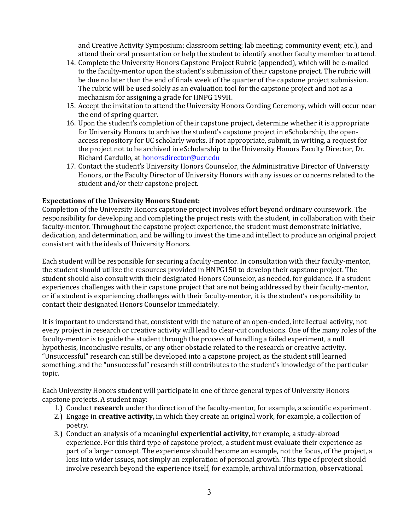and Creative Activity Symposium; classroom setting; lab meeting; community event; etc.), and attend their oral presentation or help the student to identify another faculty member to attend.

- 14. Complete the University Honors Capstone Project Rubric (appended), which will be e-mailed to the faculty-mentor upon the student's submission of their capstone project. The rubric will be due no later than the end of finals week of the quarter of the capstone project submission. The rubric will be used solely as an evaluation tool for the capstone project and not as a mechanism for assigning a grade for HNPG 199H.
- 15. Accept the invitation to attend the University Honors Cording Ceremony, which will occur near the end of spring quarter.
- 16. Upon the student's completion of their capstone project, determine whether it is appropriate for University Honors to archive the student's capstone project in eScholarship, the openaccess repository for UC scholarly works. If not appropriate, submit, in writing, a request for the project not to be archived in eScholarship to the University Honors Faculty Director, Dr. Richard Cardullo, a[t honorsdirector@ucr.edu](mailto:honorsdirector@ucr.edu)
- 17. Contact the student's University Honors Counselor, the Administrative Director of University Honors, or the Faculty Director of University Honors with any issues or concerns related to the student and/or their capstone project.

## **Expectations of the University Honors Student:**

Completion of the University Honors capstone project involves effort beyond ordinary coursework. The responsibility for developing and completing the project rests with the student, in collaboration with their faculty-mentor. Throughout the capstone project experience, the student must demonstrate initiative, dedication, and determination, and be willing to invest the time and intellect to produce an original project consistent with the ideals of University Honors.

Each student will be responsible for securing a faculty-mentor. In consultation with their faculty-mentor, the student should utilize the resources provided in HNPG150 to develop their capstone project. The student should also consult with their designated Honors Counselor, as needed, for guidance. If a student experiences challenges with their capstone project that are not being addressed by their faculty-mentor, or if a student is experiencing challenges with their faculty-mentor, it is the student's responsibility to contact their designated Honors Counselor immediately.

It is important to understand that, consistent with the nature of an open-ended, intellectual activity, not every project in research or creative activity will lead to clear-cut conclusions. One of the many roles of the faculty-mentor is to guide the student through the process of handling a failed experiment, a null hypothesis, inconclusive results, or any other obstacle related to the research or creative activity. "Unsuccessful" research can still be developed into a capstone project, as the student still learned something, and the "unsuccessful" research still contributes to the student's knowledge of the particular topic.

Each University Honors student will participate in one of three general types of University Honors capstone projects. A student may:

- 1.) Conduct **research** under the direction of the faculty-mentor, for example, a scientific experiment.
- 2.) Engage in **creative activity,** in which they create an original work, for example, a collection of poetry.
- 3.) Conduct an analysis of a meaningful **experiential activity,** for example, a study-abroad experience. For this third type of capstone project, a student must evaluate their experience as part of a larger concept. The experience should become an example, not the focus, of the project, a lens into wider issues, not simply an exploration of personal growth. This type of project should involve research beyond the experience itself, for example, archival information, observational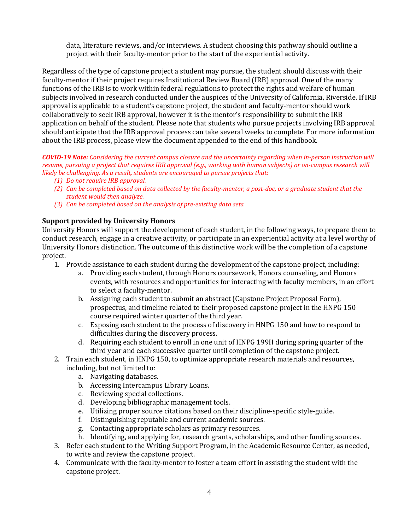data, literature reviews, and/or interviews. A student choosing this pathway should outline a project with their faculty-mentor prior to the start of the experiential activity.

Regardless of the type of capstone project a student may pursue, the student should discuss with their faculty-mentor if their project requires Institutional Review Board (IRB) approval. One of the many functions of the IRB is to work within federal regulations to protect the rights and welfare of human subjects involved in research conducted under the auspices of the University of California, Riverside. If IRB approval is applicable to a student's capstone project, the student and faculty-mentor should work collaboratively to seek IRB approval, however it is the mentor's responsibility to submit the IRB application on behalf of the student. Please note that students who pursue projects involving IRB approval should anticipate that the IRB approval process can take several weeks to complete. For more information about the IRB process, please view the document appended to the end of this handbook.

*COVID-19 Note: Considering the current campus closure and the uncertainty regarding when in-person instruction will resume, pursuing a project that requires IRB approval (e.g., working with human subjects) or on-campus research will likely be challenging. As a result, students are encouraged to pursue projects that:*

- *(1) Do not require IRB approval.*
- *(2) Can be completed based on data collected by the faculty-mentor, a post-doc, or a graduate student that the student would then analyze.*
- *(3) Can be completed based on the analysis of pre-existing data sets.*

## **Support provided by University Honors**

University Honors will support the development of each student, in the following ways, to prepare them to conduct research, engage in a creative activity, or participate in an experiential activity at a level worthy of University Honors distinction. The outcome of this distinctive work will be the completion of a capstone project.

- 1. Provide assistance to each student during the development of the capstone project, including:
	- a. Providing each student, through Honors coursework, Honors counseling, and Honors events, with resources and opportunities for interacting with faculty members, in an effort to select a faculty-mentor.
	- b. Assigning each student to submit an abstract (Capstone Project Proposal Form), prospectus, and timeline related to their proposed capstone project in the HNPG 150 course required winter quarter of the third year.
	- c. Exposing each student to the process of discovery in HNPG 150 and how to respond to difficulties during the discovery process.
	- d. Requiring each student to enroll in one unit of HNPG 199H during spring quarter of the third year and each successive quarter until completion of the capstone project.
- 2. Train each student, in HNPG 150, to optimize appropriate research materials and resources, including, but not limited to:
	- a. Navigating databases.
	- b. Accessing Intercampus Library Loans.
	- c. Reviewing special collections.
	- d. Developing bibliographic management tools.
	- e. Utilizing proper source citations based on their discipline-specific style-guide.
	- f. Distinguishing reputable and current academic sources.
	- g. Contacting appropriate scholars as primary resources.
	- h. Identifying, and applying for, research grants, scholarships, and other funding sources.
- 3. Refer each student to the Writing Support Program, in the Academic Resource Center, as needed, to write and review the capstone project.
- 4. Communicate with the faculty-mentor to foster a team effort in assisting the student with the capstone project.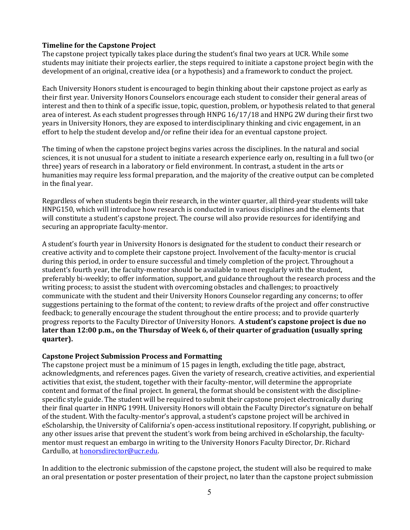## **Timeline for the Capstone Project**

The capstone project typically takes place during the student's final two years at UCR. While some students may initiate their projects earlier, the steps required to initiate a capstone project begin with the development of an original, creative idea (or a hypothesis) and a framework to conduct the project.

Each University Honors student is encouraged to begin thinking about their capstone project as early as their first year. University Honors Counselors encourage each student to consider their general areas of interest and then to think of a specific issue, topic, question, problem, or hypothesis related to that general area of interest. As each student progresses through HNPG 16/17/18 and HNPG 2W during their first two years in University Honors, they are exposed to interdisciplinary thinking and civic engagement, in an effort to help the student develop and/or refine their idea for an eventual capstone project.

The timing of when the capstone project begins varies across the disciplines. In the natural and social sciences, it is not unusual for a student to initiate a research experience early on, resulting in a full two (or three) years of research in a laboratory or field environment. In contrast, a student in the arts or humanities may require less formal preparation, and the majority of the creative output can be completed in the final year.

Regardless of when students begin their research, in the winter quarter, all third-year students will take HNPG150, which will introduce how research is conducted in various disciplines and the elements that will constitute a student's capstone project. The course will also provide resources for identifying and securing an appropriate faculty-mentor.

A student's fourth year in University Honors is designated for the student to conduct their research or creative activity and to complete their capstone project. Involvement of the faculty-mentor is crucial during this period, in order to ensure successful and timely completion of the project. Throughout a student's fourth year, the faculty-mentor should be available to meet regularly with the student, preferably bi-weekly; to offer information, support, and guidance throughout the research process and the writing process; to assist the student with overcoming obstacles and challenges; to proactively communicate with the student and their University Honors Counselor regarding any concerns; to offer suggestions pertaining to the format of the content; to review drafts of the project and offer constructive feedback; to generally encourage the student throughout the entire process; and to provide quarterly progress reports to the Faculty Director of University Honors. **A student's capstone project is due no later than 12:00 p.m., on the Thursday of Week 6, of their quarter of graduation (usually spring quarter).** 

#### **Capstone Project Submission Process and Formatting**

The capstone project must be a minimum of 15 pages in length, excluding the title page, abstract, acknowledgments, and references pages. Given the variety of research, creative activities, and experiential activities that exist, the student, together with their faculty-mentor, will determine the appropriate content and format of the final project. In general, the format should be consistent with the disciplinespecific style guide. The student will be required to submit their capstone project electronically during their final quarter in HNPG 199H. University Honors will obtain the Faculty Director's signature on behalf of the student. With the faculty-mentor's approval, a student's capstone project will be archived in eScholarship, the University of California's open-access institutional repository. If copyright, publishing, or any other issues arise that prevent the student's work from being archived in eScholarship, the facultymentor must request an embargo in writing to the University Honors Faculty Director, Dr. Richard Cardullo, at [honorsdirector@ucr.edu.](mailto:honorsdirector@ucr.edu)

In addition to the electronic submission of the capstone project, the student will also be required to make an oral presentation or poster presentation of their project, no later than the capstone project submission